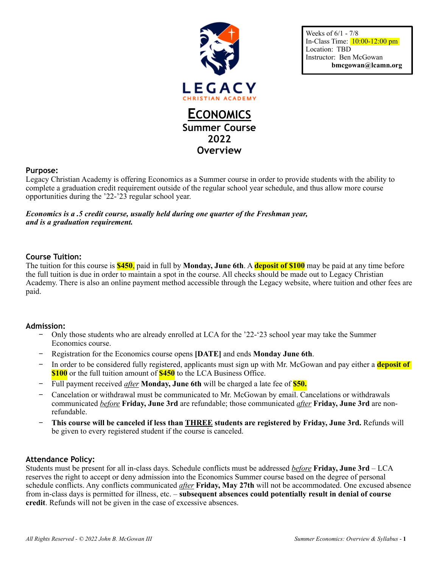

Weeks of 6/1 - 7/8 In-Class Time: 10:00-12:00 pm Location: TBD Instructor: Ben McGowan **bmcgowan@lcamn.org** 

#### **Purpose:**

Legacy Christian Academy is offering Economics as a Summer course in order to provide students with the ability to complete a graduation credit requirement outside of the regular school year schedule, and thus allow more course opportunities during the '22-'23 regular school year.

### *Economics is a .5 credit course, usually held during one quarter of the Freshman year, and is a graduation requirement.*

#### **Course Tuition:**

The tuition for this course is **\$450**, paid in full by **Monday, June 6th**. A **deposit of \$100** may be paid at any time before the full tuition is due in order to maintain a spot in the course. All checks should be made out to Legacy Christian Academy. There is also an online payment method accessible through the Legacy website, where tuition and other fees are paid.

#### **Admission:**

- − Only those students who are already enrolled at LCA for the '22-'23 school year may take the Summer Economics course.
- − Registration for the Economics course opens **[DATE]** and ends **Monday June 6th**.
- − In order to be considered fully registered, applicants must sign up with Mr. McGowan and pay either a **deposit of \$100** or the full tuition amount of **\$450** to the LCA Business Office.
- − Full payment received *after* **Monday, June 6th** will be charged a late fee of **\$50.**
- − Cancelation or withdrawal must be communicated to Mr. McGowan by email. Cancelations or withdrawals communicated *before* **Friday, June 3rd** are refundable; those communicated *after* **Friday, June 3rd** are nonrefundable.
- − **This course will be canceled if less than THREE students are registered by Friday, June 3rd.** Refunds will be given to every registered student if the course is canceled.

#### **Attendance Policy:**

Students must be present for all in-class days. Schedule conflicts must be addressed *before* **Friday, June 3rd** – LCA reserves the right to accept or deny admission into the Economics Summer course based on the degree of personal schedule conflicts. Any conflicts communicated *after* **Friday, May 27th** will not be accommodated. One excused absence from in-class days is permitted for illness, etc. – **subsequent absences could potentially result in denial of course credit**. Refunds will not be given in the case of excessive absences.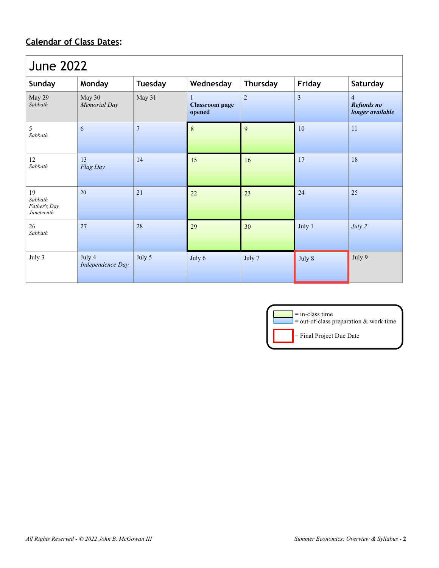# **Calendar of Class Dates:**

| <b>June 2022</b>                            |                            |                |                                      |                 |                |                                                  |  |
|---------------------------------------------|----------------------------|----------------|--------------------------------------|-----------------|----------------|--------------------------------------------------|--|
| Sunday                                      | Monday                     | <b>Tuesday</b> | Wednesday                            | <b>Thursday</b> | Friday         | Saturday                                         |  |
| May 29<br>Sabbath                           | May 30<br>Memorial Day     | May 31         | 1<br><b>Classroom</b> page<br>opened | $\overline{2}$  | $\mathfrak{Z}$ | $\overline{4}$<br>Refunds no<br>longer available |  |
| 5<br>Sabbath                                | 6                          | $\overline{7}$ | 8                                    | 9               | 10             | 11                                               |  |
| 12<br>Sabbath                               | 13<br>Flag Day             | 14             | 15                                   | 16              | 17             | 18                                               |  |
| 19<br>Sabbath<br>Father's Day<br>Juneteenth | 20                         | 21             | 22                                   | 23              | 24             | 25                                               |  |
| 26<br>Sabbath                               | 27                         | 28             | 29                                   | 30              | July 1         | July 2                                           |  |
| July 3                                      | July 4<br>Independence Day | July 5         | July 6                               | July 7          | July 8         | July 9                                           |  |

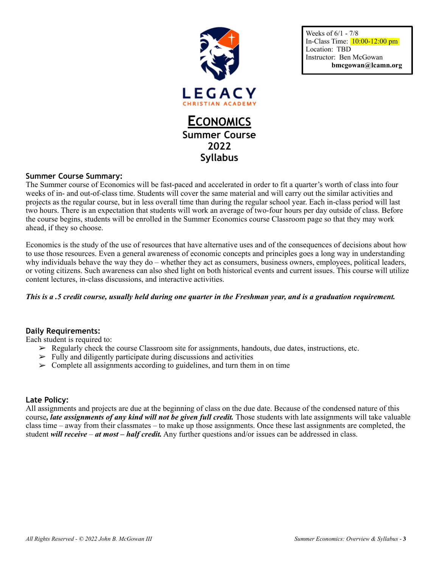

Weeks of 6/1 - 7/8 In-Class Time: 10:00-12:00 pm Location: TBD Instructor: Ben McGowan **bmcgowan@lcamn.org** 

# **Summer Course Summary:**

The Summer course of Economics will be fast-paced and accelerated in order to fit a quarter's worth of class into four weeks of in- and out-of-class time. Students will cover the same material and will carry out the similar activities and projects as the regular course, but in less overall time than during the regular school year. Each in-class period will last two hours. There is an expectation that students will work an average of two-four hours per day outside of class. Before the course begins, students will be enrolled in the Summer Economics course Classroom page so that they may work ahead, if they so choose.

**Syllabus**

Economics is the study of the use of resources that have alternative uses and of the consequences of decisions about how to use those resources. Even a general awareness of economic concepts and principles goes a long way in understanding why individuals behave the way they do – whether they act as consumers, business owners, employees, political leaders, or voting citizens. Such awareness can also shed light on both historical events and current issues. This course will utilize content lectures, in-class discussions, and interactive activities.

# *This is a .5 credit course, usually held during one quarter in the Freshman year, and is a graduation requirement.*

# **Daily Requirements:**

Each student is required to:

- $\triangleright$  Regularly check the course Classroom site for assignments, handouts, due dates, instructions, etc.
- $\triangleright$  Fully and diligently participate during discussions and activities
- $\geq$  Complete all assignments according to guidelines, and turn them in on time

# **Late Policy:**

All assignments and projects are due at the beginning of class on the due date. Because of the condensed nature of this course, *late assignments of any kind will not be given full credit*. Those students with late assignments will take valuable class time – away from their classmates – to make up those assignments. Once these last assignments are completed, the student *will receive* – *at most – half credit.* Any further questions and/or issues can be addressed in class.